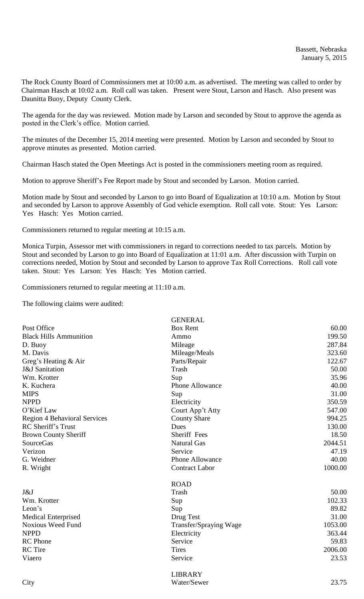The Rock County Board of Commissioners met at 10:00 a.m. as advertised. The meeting was called to order by Chairman Hasch at 10:02 a.m. Roll call was taken. Present were Stout, Larson and Hasch. Also present was Daunitta Buoy, Deputy County Clerk.

The agenda for the day was reviewed. Motion made by Larson and seconded by Stout to approve the agenda as posted in the Clerk's office. Motion carried.

The minutes of the December 15, 2014 meeting were presented. Motion by Larson and seconded by Stout to approve minutes as presented. Motion carried.

Chairman Hasch stated the Open Meetings Act is posted in the commissioners meeting room as required.

Motion to approve Sheriff's Fee Report made by Stout and seconded by Larson. Motion carried.

Motion made by Stout and seconded by Larson to go into Board of Equalization at 10:10 a.m. Motion by Stout and seconded by Larson to approve Assembly of God vehicle exemption. Roll call vote. Stout: Yes Larson: Yes Hasch: Yes Motion carried.

Commissioners returned to regular meeting at 10:15 a.m.

Monica Turpin, Assessor met with commissioners in regard to corrections needed to tax parcels. Motion by Stout and seconded by Larson to go into Board of Equalization at 11:01 a.m. After discussion with Turpin on corrections needed, Motion by Stout and seconded by Larson to approve Tax Roll Corrections. Roll call vote taken. Stout: Yes Larson: Yes Hasch: Yes Motion carried.

Commissioners returned to regular meeting at 11:10 a.m.

The following claims were audited:

|                                     | <b>GENERAL</b>         |         |
|-------------------------------------|------------------------|---------|
| Post Office                         | <b>Box Rent</b>        | 60.00   |
| <b>Black Hills Ammunition</b>       | Ammo                   | 199.50  |
| D. Buoy                             | Mileage                | 287.84  |
| M. Davis                            | Mileage/Meals          | 323.60  |
| Greg's Heating & Air                | Parts/Repair           | 122.67  |
| <b>J&amp;J</b> Sanitation           | Trash                  | 50.00   |
| Wm. Krotter                         | Sup                    | 35.96   |
| K. Kuchera                          | <b>Phone Allowance</b> | 40.00   |
| <b>MIPS</b>                         | Sup                    | 31.00   |
| <b>NPPD</b>                         | Electricity            | 350.59  |
| O'Kief Law                          | Court App't Atty       | 547.00  |
| <b>Region 4 Behavioral Services</b> | <b>County Share</b>    | 994.25  |
| <b>RC</b> Sheriff's Trust           | Dues                   | 130.00  |
| <b>Brown County Sheriff</b>         | Sheriff Fees           | 18.50   |
| <b>SourceGas</b>                    | <b>Natural Gas</b>     | 2044.51 |
| Verizon                             | Service                | 47.19   |
| G. Weidner                          | <b>Phone Allowance</b> | 40.00   |
| R. Wright                           | <b>Contract Labor</b>  | 1000.00 |
|                                     | <b>ROAD</b>            |         |
| J&J                                 | Trash                  | 50.00   |
| Wm. Krotter                         | Sup                    | 102.33  |
| Leon's                              | Sup                    | 89.82   |
| <b>Medical Enterprised</b>          | Drug Test              | 31.00   |
| <b>Noxious Weed Fund</b>            | Transfer/Spraying Wage | 1053.00 |
| <b>NPPD</b>                         | Electricity            | 363.44  |
| <b>RC</b> Phone                     | Service                | 59.83   |
| <b>RC</b> Tire                      | <b>Tires</b>           | 2006.00 |
| Viaero                              | Service                | 23.53   |
|                                     | <b>LIBRARY</b>         |         |
| City                                | Water/Sewer            | 23.75   |